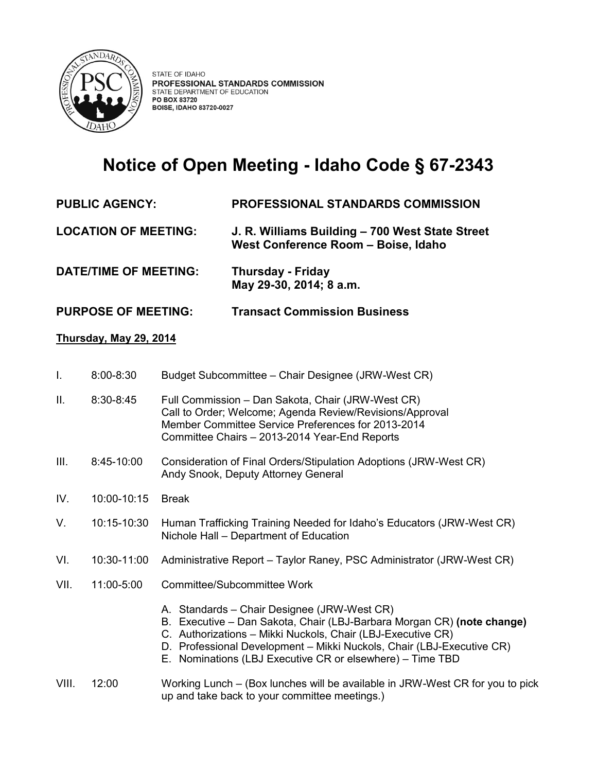

# **Notice of Open Meeting - Idaho Code § 67-2343**

# **PUBLIC AGENCY: PROFESSIONAL STANDARDS COMMISSION**

**LOCATION OF MEETING: J. R. Williams Building – 700 West State Street West Conference Room – Boise, Idaho** 

**DATE/TIME OF MEETING: Thursday - Friday May 29-30, 2014; 8 a.m.** 

# **PURPOSE OF MEETING: Transact Commission Business**

### **Thursday, May 29, 2014**

- I. 8:00-8:30 Budget Subcommittee Chair Designee (JRW-West CR)
- II. 8:30-8:45 Full Commission Dan Sakota, Chair (JRW-West CR) Call to Order; Welcome; Agenda Review/Revisions/Approval Member Committee Service Preferences for 2013-2014 Committee Chairs – 2013-2014 Year-End Reports
- III. 8:45-10:00 Consideration of Final Orders/Stipulation Adoptions (JRW-West CR) Andy Snook, Deputy Attorney General
- IV. 10:00-10:15 Break
- V. 10:15-10:30 Human Trafficking Training Needed for Idaho's Educators (JRW-West CR) Nichole Hall – Department of Education
- VI. 10:30-11:00 Administrative Report Taylor Raney, PSC Administrator (JRW-West CR)
- VII. 11:00-5:00 Committee/Subcommittee Work
	- A. Standards Chair Designee (JRW-West CR)
	- B. Executive Dan Sakota, Chair (LBJ-Barbara Morgan CR) **(note change)**
	- C. Authorizations Mikki Nuckols, Chair (LBJ-Executive CR)
	- D. Professional Development Mikki Nuckols, Chair (LBJ-Executive CR)
	- E. Nominations (LBJ Executive CR or elsewhere) Time TBD

#### VIII. 12:00 Working Lunch – (Box lunches will be available in JRW-West CR for you to pick up and take back to your committee meetings.)